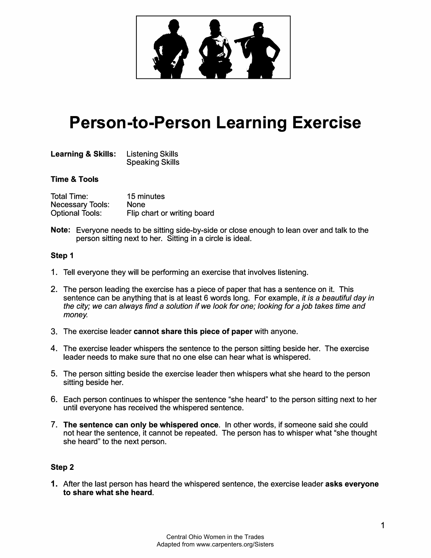

# **Person-to-Person Learning Exercise**

| <b>Learning &amp; Skills:</b> | <b>Listening Skills</b> |
|-------------------------------|-------------------------|
|                               | <b>Speaking Skills</b>  |

### **Time & Tools**

| <b>Total Time:</b>      | 15 minutes                  |
|-------------------------|-----------------------------|
| <b>Necessary Tools:</b> | <b>None</b>                 |
| <b>Optional Tools:</b>  | Flip chart or writing board |

**Note:** Everyone needs to be sitting side-by-side or close enough to lean over and talk to the person sitting next to her. Sitting in a circle is ideal.

#### **Step 1**

- 1. Tell everyone they will be performing an exercise that involves listening.
- 2. The person leading the exercise has a piece of paper that has a sentence on it. This sentence can be anything that is at least 6 words long. For example, *it is* a *beautiful day in the city; we can always find* a *solution if we look for one; looking for* a *job takes time and money.*
- 3. The exercise leader **cannot share this piece of paper** with anyone.
- 4. The exercise leader whispers the sentence to the person sitting beside her. The exercise leader needs to make sure that no one else can hear what is whispered.
- 5. The person sitting beside the exercise leader then whispers what she heard to the person sitting beside her.
- 6. Each person continues to whisper the sentence "she heard" to the person sitting next to her until everyone has received the whispered sentence.
- 7. **The sentence can only be whispered once.** In other words, if someone said she could not hear the sentence, it cannot be repeated. The person has to whisper what "she thought she heard" to the next person.

#### **Step 2**

**1.** After the last person has heard the whispered sentence, the exercise leader **asks everyone to share what she heard.**